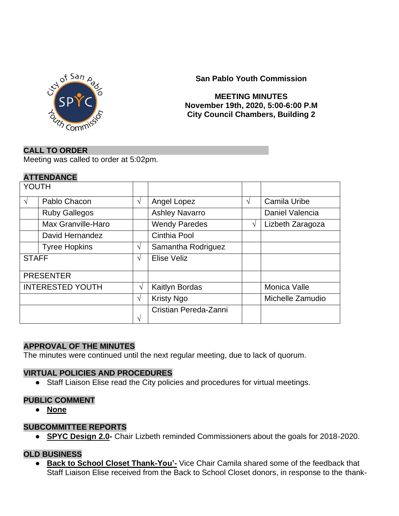

**San Pablo Youth Commission**

### **MEETING MINUTES November 19th, 2020, 5:00-6:00 P.M City Council Chambers, Building 2**

### **CALL TO ORDER**

Meeting was called to order at 5:02pm.

### **ATTENDANCE**

| YOUTH                   |                      |            |                       |   |                     |
|-------------------------|----------------------|------------|-----------------------|---|---------------------|
| $\sqrt{ }$              | Pablo Chacon         | $\sqrt{ }$ | Angel Lopez           | V | Camila Uribe        |
|                         | <b>Ruby Gallegos</b> |            | <b>Ashley Navarro</b> |   | Daniel Valencia     |
|                         | Max Granville-Haro   |            | <b>Wendy Paredes</b>  | V | Lizbeth Zaragoza    |
|                         | David Hernandez      |            | Cinthia Pool          |   |                     |
|                         | <b>Tyree Hopkins</b> | $\sqrt{ }$ | Samantha Rodriguez    |   |                     |
| <b>STAFF</b>            |                      | V          | Elise Veliz           |   |                     |
| <b>PRESENTER</b>        |                      |            |                       |   |                     |
| <b>INTERESTED YOUTH</b> |                      | V          | Kaitlyn Bordas        |   | <b>Monica Valle</b> |
|                         |                      | $\sqrt{ }$ | <b>Kristy Ngo</b>     |   | Michelle Zamudio    |
|                         |                      | V          | Cristian Pereda-Zanni |   |                     |

### **APPROVAL OF THE MINUTES**

The minutes were continued until the next regular meeting, due to lack of quorum.

### **VIRTUAL POLICIES AND PROCEDURES**

● Staff Liaison Elise read the City policies and procedures for virtual meetings.

### **PUBLIC COMMENT**

● **None**

### **SUBCOMMITTEE REPORTS**

● **SPYC Design 2.0-** Chair Lizbeth reminded Commissioners about the goals for 2018-2020.

## **OLD BUSINESS**

**• Back to School Closet Thank-You'-** Vice Chair Camila shared some of the feedback that Staff Liaison Elise received from the Back to School Closet donors, in response to the thank